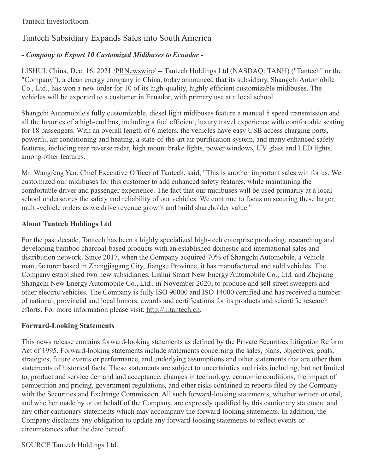## Tantech Subsidiary Expands Sales into South America

## *- Company to Export 10 Customized Midibuses toEcuador -*

LISHUI, China, Dec. 16, 2021 [/PRNewswire](http://www.prnewswire.com/)/ -- Tantech Holdings Ltd (NASDAQ: TANH) ("Tantech" or the "Company"), a clean energy company in China, today announced that its subsidiary, Shangchi Automobile Co., Ltd., has won a new order for 10 of its high-quality, highly efficient customizable midibuses. The vehicles will be exported to a customer in Ecuador, with primary use at a local school.

Shangchi Automobile's fully customizable, diesel light midibuses feature a manual 5 speed transmission and all the luxuries of a high-end bus, including a fuel efficient, luxury travel experience with comfortable seating for 18 passengers. With an overall length of 6 meters, the vehicles have easy USB access charging ports, powerful air conditioning and heating, a state-of-the-art air purification system, and many enhanced safety features, including rear reverse radar, high mount brake lights, power windows, UV glass and LED lights, among other features.

Mr. Wangfeng Yan, Chief Executive Officer of Tantech, said, "This is another important sales win for us. We customized our midibuses for this customer to add enhanced safety features, while maintaining the comfortable driver and passenger experience. The fact that our midibuses will be used primarily at a local school underscores the safety and reliability of our vehicles. We continue to focus on securing these larger, multi-vehicle orders as we drive revenue growth and build shareholder value."

## **About Tantech Holdings Ltd**

For the past decade, Tantech has been a highly specialized high-tech enterprise producing, researching and developing bamboo charcoal-based products with an established domestic and international sales and distribution network. Since 2017, when the Company acquired 70% of Shangchi Automobile, a vehicle manufacturer based in Zhangjiagang City, Jiangsu Province, it has manufactured and sold vehicles. The Company established two new subsidiaries, Lishui Smart New Energy Automobile Co., Ltd. and Zhejiang Shangchi New Energy Automobile Co., Ltd., in November 2020, to produce and sell street sweepers and other electric vehicles. The Company is fully ISO 90000 and ISO 14000 certified and has received a number of national, provincial and local honors, awards and certifications for its products and scientific research efforts. For more information please visit: [http://ir.tantech.cn](http://ir.tantech.cn/).

## **Forward-Looking Statements**

This news release contains forward-looking statements as defined by the Private Securities Litigation Reform Act of 1995. Forward-looking statements include statements concerning the sales, plans, objectives, goals, strategies, future events or performance, and underlying assumptions and other statements that are other than statements of historical facts. These statements are subject to uncertainties and risks including, but not limited to, product and service demand and acceptance, changes in technology, economic conditions, the impact of competition and pricing, government regulations, and other risks contained in reports filed by the Company with the Securities and Exchange Commission. All such forward-looking statements, whether written or oral, and whether made by or on behalf of the Company, are expressly qualified by this cautionary statement and any other cautionary statements which may accompany the forward-looking statements. In addition, the Company disclaims any obligation to update any forward-looking statements to reflect events or circumstances after the date hereof.

SOURCE Tantech Holdings Ltd.